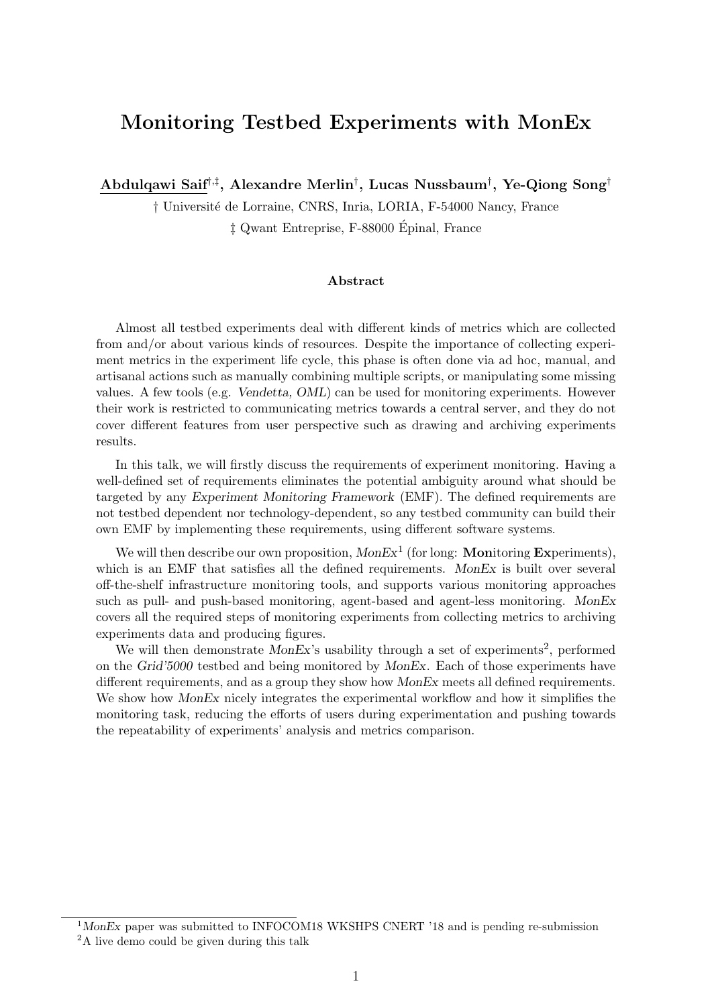# Monitoring Testbed Experiments with MonEx

Abdulqawi Saif†,‡ , Alexandre Merlin† , Lucas Nussbaum† , Ye-Qiong Song†

† Universit´e de Lorraine, CNRS, Inria, LORIA, F-54000 Nancy, France

‡ Qwant Entreprise, F-88000 Epinal, France ´

# Abstract

Almost all testbed experiments deal with different kinds of metrics which are collected from and/or about various kinds of resources. Despite the importance of collecting experiment metrics in the experiment life cycle, this phase is often done via ad hoc, manual, and artisanal actions such as manually combining multiple scripts, or manipulating some missing values. A few tools (e.g. Vendetta, OML) can be used for monitoring experiments. However their work is restricted to communicating metrics towards a central server, and they do not cover different features from user perspective such as drawing and archiving experiments results.

In this talk, we will firstly discuss the requirements of experiment monitoring. Having a well-defined set of requirements eliminates the potential ambiguity around what should be targeted by any Experiment Monitoring Framework (EMF). The defined requirements are not testbed dependent nor technology-dependent, so any testbed community can build their own EMF by implementing these requirements, using different software systems.

We will then describe our own proposition,  $MonEx<sup>1</sup>$  (for long: **Monitoring Experiments**), which is an EMF that satisfies all the defined requirements. MonEx is built over several off-the-shelf infrastructure monitoring tools, and supports various monitoring approaches such as pull- and push-based monitoring, agent-based and agent-less monitoring. MonEx covers all the required steps of monitoring experiments from collecting metrics to archiving experiments data and producing figures.

We will then demonstrate  $MonEx$ 's usability through a set of experiments<sup>2</sup>, performed on the Grid'5000 testbed and being monitored by MonEx. Each of those experiments have different requirements, and as a group they show how MonEx meets all defined requirements. We show how MonEx nicely integrates the experimental workflow and how it simplifies the monitoring task, reducing the efforts of users during experimentation and pushing towards the repeatability of experiments' analysis and metrics comparison.

 $1$ MonEx paper was submitted to INFOCOM18 WKSHPS CNERT '18 and is pending re-submission

<sup>&</sup>lt;sup>2</sup>A live demo could be given during this talk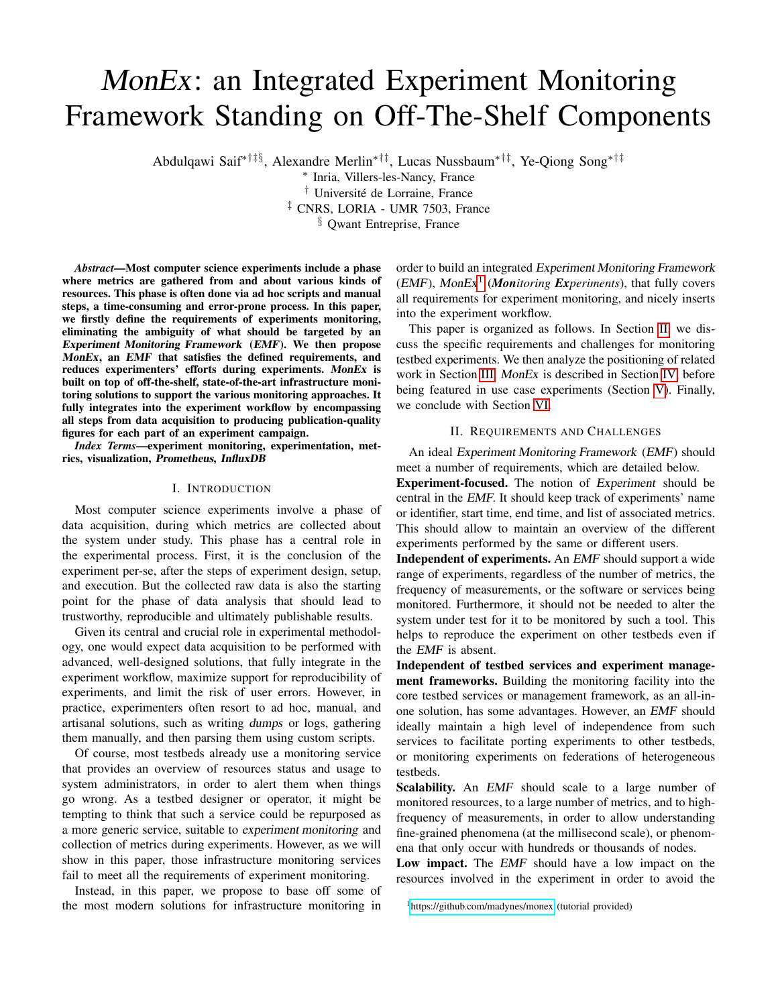# MonEx: an Integrated Experiment Monitoring Framework Standing on Off-The-Shelf Components

Abdulqawi Saif∗†‡§, Alexandre Merlin∗†‡, Lucas Nussbaum∗†‡, Ye-Qiong Song∗†‡

∗ Inria, Villers-les-Nancy, France <sup>†</sup> Université de Lorraine, France ‡ CNRS, LORIA - UMR 7503, France

§ Qwant Entreprise, France

*Abstract*—Most computer science experiments include a phase where metrics are gathered from and about various kinds of resources. This phase is often done via ad hoc scripts and manual steps, a time-consuming and error-prone process. In this paper, we firstly define the requirements of experiments monitoring, eliminating the ambiguity of what should be targeted by an Experiment Monitoring Framework (EMF). We then propose MonEx, an EMF that satisfies the defined requirements, and reduces experimenters' efforts during experiments. MonEx is built on top of off-the-shelf, state-of-the-art infrastructure monitoring solutions to support the various monitoring approaches. It fully integrates into the experiment workflow by encompassing all steps from data acquisition to producing publication-quality figures for each part of an experiment campaign.

*Index Terms*—experiment monitoring, experimentation, metrics, visualization, Prometheus, InfluxDB

#### I. INTRODUCTION

Most computer science experiments involve a phase of data acquisition, during which metrics are collected about the system under study. This phase has a central role in the experimental process. First, it is the conclusion of the experiment per-se, after the steps of experiment design, setup, and execution. But the collected raw data is also the starting point for the phase of data analysis that should lead to trustworthy, reproducible and ultimately publishable results.

Given its central and crucial role in experimental methodology, one would expect data acquisition to be performed with advanced, well-designed solutions, that fully integrate in the experiment workflow, maximize support for reproducibility of experiments, and limit the risk of user errors. However, in practice, experimenters often resort to ad hoc, manual, and artisanal solutions, such as writing dumps or logs, gathering them manually, and then parsing them using custom scripts.

Of course, most testbeds already use a monitoring service that provides an overview of resources status and usage to system administrators, in order to alert them when things go wrong. As a testbed designer or operator, it might be tempting to think that such a service could be repurposed as a more generic service, suitable to experiment monitoring and collection of metrics during experiments. However, as we will show in this paper, those infrastructure monitoring services fail to meet all the requirements of experiment monitoring.

Instead, in this paper, we propose to base off some of the most modern solutions for infrastructure monitoring in order to build an integrated Experiment Monitoring Framework (EMF), MonEx1 (*Monitoring Experiments*), that fully covers all requirements for experiment monitoring, and nicely inserts into the experiment workflow.

This paper is organized as follows. In Section II, we discuss the specific requirements and challenges for monitoring testbed experiments. We then analyze the positioning of related work in Section III. MonEx is described in Section IV, before being featured in use case experiments (Section V). Finally, we conclude with Section VI.

# II. REQUIREMENTS AND CHALLENGES

An ideal Experiment Monitoring Framework (EMF) should meet a number of requirements, which are detailed below.

Experiment-focused. The notion of Experiment should be central in the EMF. It should keep track of experiments' name or identifier, start time, end time, and list of associated metrics. This should allow to maintain an overview of the different experiments performed by the same or different users.

Independent of experiments. An EMF should support a wide range of experiments, regardless of the number of metrics, the frequency of measurements, or the software or services being monitored. Furthermore, it should not be needed to alter the system under test for it to be monitored by such a tool. This helps to reproduce the experiment on other testbeds even if the EMF is absent.

Independent of testbed services and experiment management frameworks. Building the monitoring facility into the core testbed services or management framework, as an all-inone solution, has some advantages. However, an EMF should ideally maintain a high level of independence from such services to facilitate porting experiments to other testbeds, or monitoring experiments on federations of heterogeneous testbeds.

Scalability. An EMF should scale to a large number of monitored resources, to a large number of metrics, and to highfrequency of measurements, in order to allow understanding fine-grained phenomena (at the millisecond scale), or phenomena that only occur with hundreds or thousands of nodes.

Low impact. The *EMF* should have a low impact on the resources involved in the experiment in order to avoid the

<sup>1</sup><https://github.com/madynes/monex> (tutorial provided)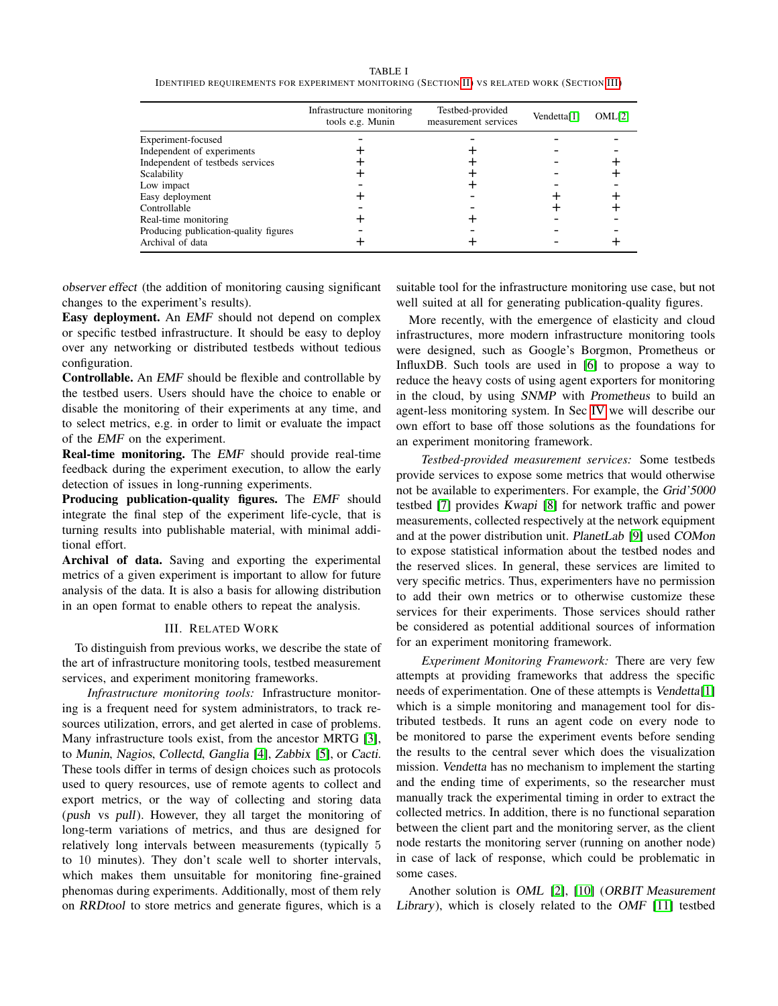#### TABLE I

| Infrastructure monitoring<br>tools e.g. Munin | Testbed-provided<br>measurement services | Vendetta $[1]$ | OML[2] |
|-----------------------------------------------|------------------------------------------|----------------|--------|
|                                               |                                          |                |        |
|                                               |                                          |                |        |
|                                               |                                          |                |        |
|                                               |                                          |                |        |
|                                               |                                          |                |        |
|                                               |                                          |                |        |
|                                               |                                          |                |        |
|                                               |                                          |                |        |
|                                               |                                          |                |        |
|                                               |                                          |                |        |
|                                               |                                          |                |        |

IDENTIFIED REQUIREMENTS FOR EXPERIMENT MONITORING (SECTION II) VS RELATED WORK (SECTION III)

observer effect (the addition of monitoring causing significant changes to the experiment's results).

Easy deployment. An EMF should not depend on complex or specific testbed infrastructure. It should be easy to deploy over any networking or distributed testbeds without tedious configuration.

Controllable. An EMF should be flexible and controllable by the testbed users. Users should have the choice to enable or disable the monitoring of their experiments at any time, and to select metrics, e.g. in order to limit or evaluate the impact of the EMF on the experiment.

Real-time monitoring. The EMF should provide real-time feedback during the experiment execution, to allow the early detection of issues in long-running experiments.

Producing publication-quality figures. The EMF should integrate the final step of the experiment life-cycle, that is turning results into publishable material, with minimal additional effort.

Archival of data. Saving and exporting the experimental metrics of a given experiment is important to allow for future analysis of the data. It is also a basis for allowing distribution in an open format to enable others to repeat the analysis.

# III. RELATED WORK

To distinguish from previous works, we describe the state of the art of infrastructure monitoring tools, testbed measurement services, and experiment monitoring frameworks.

*Infrastructure monitoring tools:* Infrastructure monitoring is a frequent need for system administrators, to track resources utilization, errors, and get alerted in case of problems. Many infrastructure tools exist, from the ancestor MRTG [3], to Munin, Nagios, Collectd, Ganglia [4], Zabbix [5], or Cacti. These tools differ in terms of design choices such as protocols used to query resources, use of remote agents to collect and export metrics, or the way of collecting and storing data (push vs pull). However, they all target the monitoring of long-term variations of metrics, and thus are designed for relatively long intervals between measurements (typically 5 to 10 minutes). They don't scale well to shorter intervals, which makes them unsuitable for monitoring fine-grained phenomas during experiments. Additionally, most of them rely on RRDtool to store metrics and generate figures, which is a

suitable tool for the infrastructure monitoring use case, but not well suited at all for generating publication-quality figures.

More recently, with the emergence of elasticity and cloud infrastructures, more modern infrastructure monitoring tools were designed, such as Google's Borgmon, Prometheus or InfluxDB. Such tools are used in [6] to propose a way to reduce the heavy costs of using agent exporters for monitoring in the cloud, by using SNMP with Prometheus to build an agent-less monitoring system. In Sec IV we will describe our own effort to base off those solutions as the foundations for an experiment monitoring framework.

*Testbed-provided measurement services:* Some testbeds provide services to expose some metrics that would otherwise not be available to experimenters. For example, the Grid'5000 testbed [7] provides Kwapi [8] for network traffic and power measurements, collected respectively at the network equipment and at the power distribution unit. PlanetLab [9] used COMon to expose statistical information about the testbed nodes and the reserved slices. In general, these services are limited to very specific metrics. Thus, experimenters have no permission to add their own metrics or to otherwise customize these services for their experiments. Those services should rather be considered as potential additional sources of information for an experiment monitoring framework.

*Experiment Monitoring Framework:* There are very few attempts at providing frameworks that address the specific needs of experimentation. One of these attempts is Vendetta[1] which is a simple monitoring and management tool for distributed testbeds. It runs an agent code on every node to be monitored to parse the experiment events before sending the results to the central sever which does the visualization mission. Vendetta has no mechanism to implement the starting and the ending time of experiments, so the researcher must manually track the experimental timing in order to extract the collected metrics. In addition, there is no functional separation between the client part and the monitoring server, as the client node restarts the monitoring server (running on another node) in case of lack of response, which could be problematic in some cases.

Another solution is OML [2], [10] (ORBIT Measurement Library), which is closely related to the OMF [11] testbed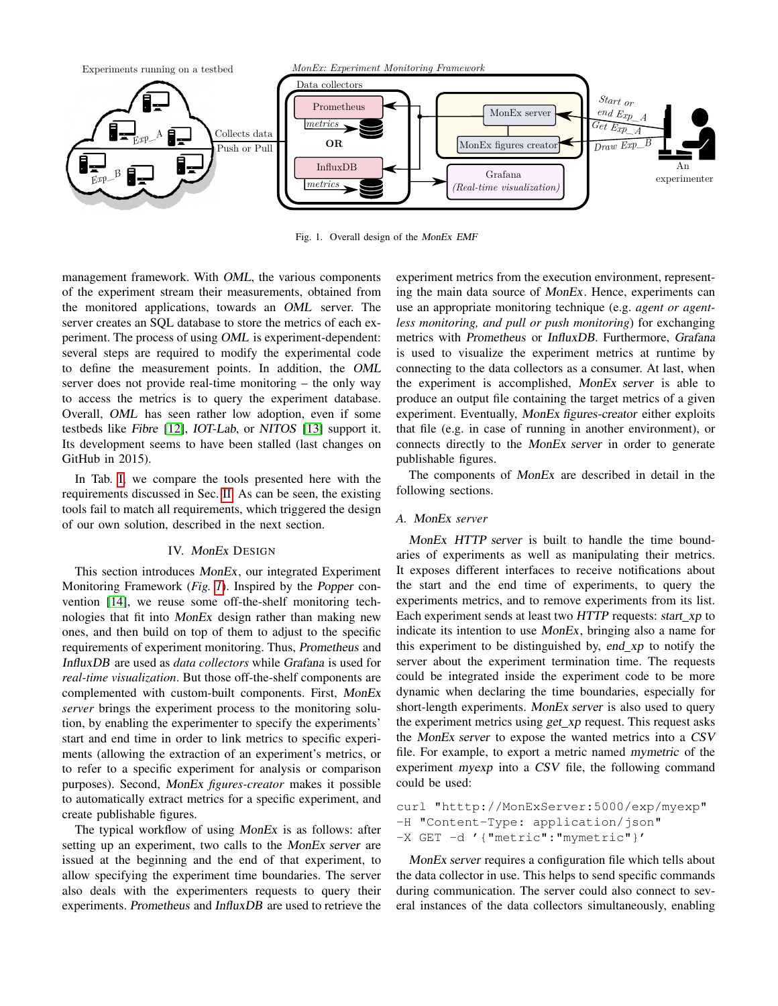

Fig. 1. Overall design of the MonEx EMF

management framework. With OML, the various components of the experiment stream their measurements, obtained from the monitored applications, towards an OML server. The server creates an SQL database to store the metrics of each experiment. The process of using OML is experiment-dependent: several steps are required to modify the experimental code to define the measurement points. In addition, the OML server does not provide real-time monitoring – the only way to access the metrics is to query the experiment database. Overall, OML has seen rather low adoption, even if some testbeds like Fibre [12], IOT-Lab, or NITOS [13] support it. Its development seems to have been stalled (last changes on GitHub in 2015).

In Tab. I, we compare the tools presented here with the requirements discussed in Sec. II. As can be seen, the existing tools fail to match all requirements, which triggered the design of our own solution, described in the next section.

# IV. MonEx DESIGN

This section introduces MonEx, our integrated Experiment Monitoring Framework (*Fig. 1*). Inspired by the Popper convention [14], we reuse some off-the-shelf monitoring technologies that fit into MonEx design rather than making new ones, and then build on top of them to adjust to the specific requirements of experiment monitoring. Thus, Prometheus and InfluxDB are used as *data collectors* while Grafana is used for *real-time visualization*. But those off-the-shelf components are complemented with custom-built components. First, MonEx *server* brings the experiment process to the monitoring solution, by enabling the experimenter to specify the experiments' start and end time in order to link metrics to specific experiments (allowing the extraction of an experiment's metrics, or to refer to a specific experiment for analysis or comparison purposes). Second, MonEx *figures-creator* makes it possible to automatically extract metrics for a specific experiment, and create publishable figures.

The typical workflow of using MonEx is as follows: after setting up an experiment, two calls to the MonEx server are issued at the beginning and the end of that experiment, to allow specifying the experiment time boundaries. The server also deals with the experimenters requests to query their experiments. Prometheus and InfluxDB are used to retrieve the experiment metrics from the execution environment, representing the main data source of MonEx. Hence, experiments can use an appropriate monitoring technique (e.g. *agent or agentless monitoring, and pull or push monitoring*) for exchanging metrics with Prometheus or InfluxDB. Furthermore, Grafana is used to visualize the experiment metrics at runtime by connecting to the data collectors as a consumer. At last, when the experiment is accomplished, MonEx server is able to produce an output file containing the target metrics of a given experiment. Eventually, MonEx figures-creator either exploits that file (e.g. in case of running in another environment), or connects directly to the MonEx server in order to generate publishable figures.

The components of MonEx are described in detail in the following sections.

# *A.* MonEx *server*

MonEx HTTP server is built to handle the time boundaries of experiments as well as manipulating their metrics. It exposes different interfaces to receive notifications about the start and the end time of experiments, to query the experiments metrics, and to remove experiments from its list. Each experiment sends at least two HTTP requests: start\_xp to indicate its intention to use MonEx, bringing also a name for this experiment to be distinguished by, end  $xp$  to notify the server about the experiment termination time. The requests could be integrated inside the experiment code to be more dynamic when declaring the time boundaries, especially for short-length experiments. MonEx server is also used to query the experiment metrics using *get\_xp* request. This request asks the MonEx server to expose the wanted metrics into a CSV file. For example, to export a metric named mymetric of the experiment myexp into a CSV file, the following command could be used:

```
curl "htttp://MonExServer:5000/exp/myexp"
-H "Content-Type: application/json"
-X GET -d '{"metric":"mymetric"}'
```
MonEx server requires a configuration file which tells about the data collector in use. This helps to send specific commands during communication. The server could also connect to several instances of the data collectors simultaneously, enabling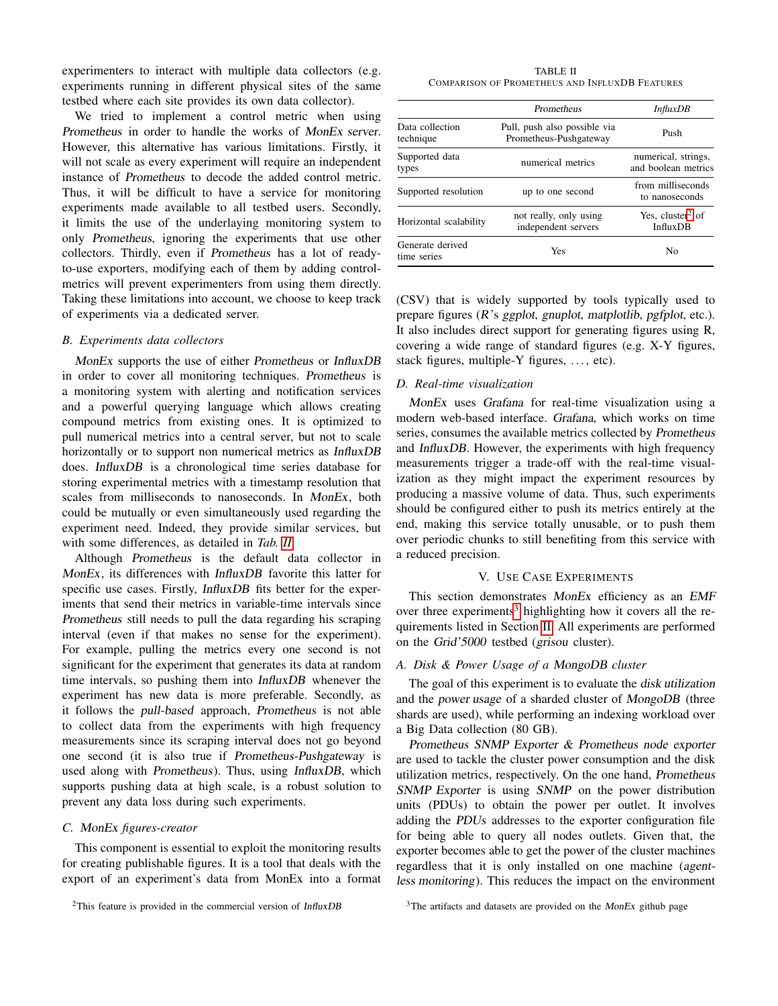experimenters to interact with multiple data collectors (e.g. experiments running in different physical sites of the same testbed where each site provides its own data collector).

We tried to implement a control metric when using Prometheus in order to handle the works of MonEx server. However, this alternative has various limitations. Firstly, it will not scale as every experiment will require an independent instance of Prometheus to decode the added control metric. Thus, it will be difficult to have a service for monitoring experiments made available to all testbed users. Secondly, it limits the use of the underlaying monitoring system to only Prometheus, ignoring the experiments that use other collectors. Thirdly, even if Prometheus has a lot of readyto-use exporters, modifying each of them by adding controlmetrics will prevent experimenters from using them directly. Taking these limitations into account, we choose to keep track of experiments via a dedicated server.

#### *B. Experiments data collectors*

MonEx supports the use of either Prometheus or InfluxDB in order to cover all monitoring techniques. Prometheus is a monitoring system with alerting and notification services and a powerful querying language which allows creating compound metrics from existing ones. It is optimized to pull numerical metrics into a central server, but not to scale horizontally or to support non numerical metrics as InfluxDB does. InfluxDB is a chronological time series database for storing experimental metrics with a timestamp resolution that scales from milliseconds to nanoseconds. In MonEx, both could be mutually or even simultaneously used regarding the experiment need. Indeed, they provide similar services, but with some differences, as detailed in *Tab. II*.

Although Prometheus is the default data collector in MonEx, its differences with InfluxDB favorite this latter for specific use cases. Firstly, InfluxDB fits better for the experiments that send their metrics in variable-time intervals since Prometheus still needs to pull the data regarding his scraping interval (even if that makes no sense for the experiment). For example, pulling the metrics every one second is not significant for the experiment that generates its data at random time intervals, so pushing them into InfluxDB whenever the experiment has new data is more preferable. Secondly, as it follows the pull-based approach, Prometheus is not able to collect data from the experiments with high frequency measurements since its scraping interval does not go beyond one second (it is also true if Prometheus-Pushgateway is used along with Prometheus). Thus, using InfluxDB, which supports pushing data at high scale, is a robust solution to prevent any data loss during such experiments.

#### *C.* MonEx *figures-creator*

This component is essential to exploit the monitoring results for creating publishable figures. It is a tool that deals with the export of an experiment's data from MonEx into a format

TABLE II COMPARISON OF PROMETHEUS AND INFLUXDB FEATURES

|                                 | Prometheus                                             | InfluxDB                                        |
|---------------------------------|--------------------------------------------------------|-------------------------------------------------|
| Data collection<br>technique    | Pull, push also possible via<br>Prometheus-Pushgateway | Push                                            |
| Supported data<br>types         | numerical metrics                                      | numerical, strings,<br>and boolean metrics      |
| Supported resolution            | up to one second                                       | from milliseconds<br>to nanoseconds             |
| Horizontal scalability          | not really, only using<br>independent servers          | Yes, cluster <sup>2</sup> of<br><b>InfluxDB</b> |
| Generate derived<br>time series | Yes                                                    | Nο                                              |

(CSV) that is widely supported by tools typically used to prepare figures (R's ggplot, gnuplot, matplotlib, pgfplot, etc.). It also includes direct support for generating figures using R, covering a wide range of standard figures (e.g. X-Y figures, stack figures, multiple-Y figures, ..., etc).

# *D. Real-time visualization*

MonEx uses Grafana for real-time visualization using a modern web-based interface. Grafana, which works on time series, consumes the available metrics collected by Prometheus and InfluxDB. However, the experiments with high frequency measurements trigger a trade-off with the real-time visualization as they might impact the experiment resources by producing a massive volume of data. Thus, such experiments should be configured either to push its metrics entirely at the end, making this service totally unusable, or to push them over periodic chunks to still benefiting from this service with a reduced precision.

# V. USE CASE EXPERIMENTS

This section demonstrates MonEx efficiency as an EMF over three experiments<sup>3</sup> highlighting how it covers all the requirements listed in Section II. All experiments are performed on the Grid'5000 testbed (grisou cluster).

## *A. Disk & Power Usage of a* MongoDB *cluster*

The goal of this experiment is to evaluate the disk utilization and the power usage of a sharded cluster of MongoDB (three shards are used), while performing an indexing workload over a Big Data collection (80 GB).

Prometheus SNMP Exporter & Prometheus node exporter are used to tackle the cluster power consumption and the disk utilization metrics, respectively. On the one hand, Prometheus SNMP Exporter is using SNMP on the power distribution units (PDUs) to obtain the power per outlet. It involves adding the PDUs addresses to the exporter configuration file for being able to query all nodes outlets. Given that, the exporter becomes able to get the power of the cluster machines regardless that it is only installed on one machine (agentless monitoring). This reduces the impact on the environment

 $2$ This feature is provided in the commercial version of InfluxDB

<sup>&</sup>lt;sup>3</sup>The artifacts and datasets are provided on the MonEx github page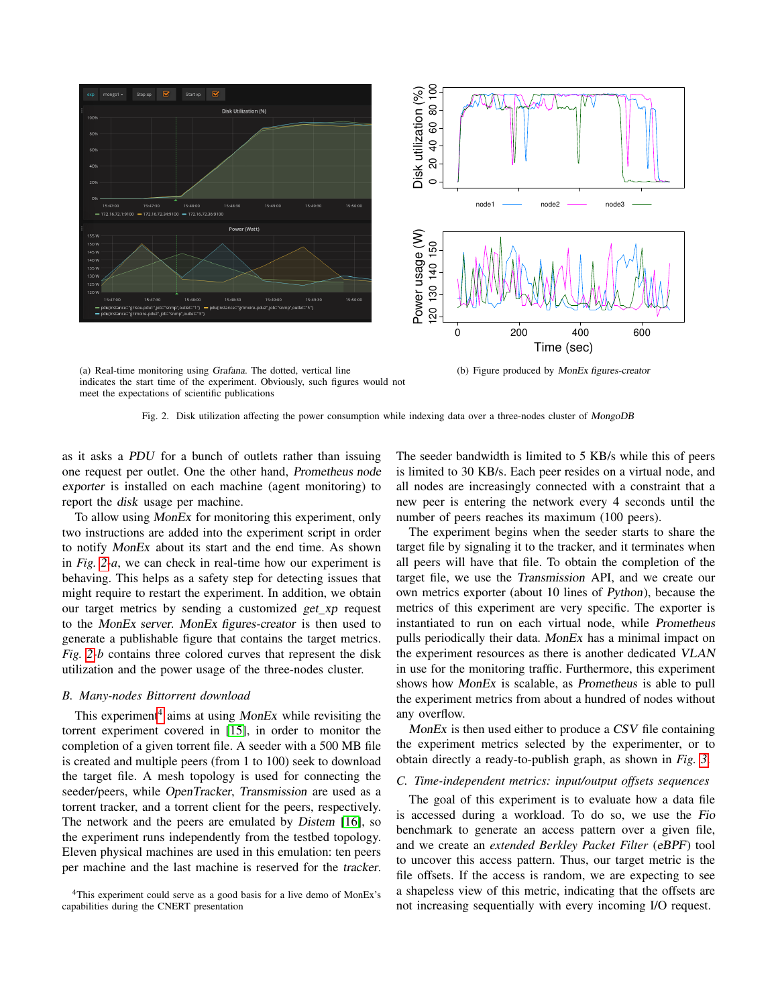

(a) Real-time monitoring using Grafana. The dotted, vertical line indicates the start time of the experiment. Obviously, such figures would not meet the expectations of scientific publications

Fig. 2. Disk utilization affecting the power consumption while indexing data over a three-nodes cluster of MongoDB

as it asks a PDU for a bunch of outlets rather than issuing one request per outlet. One the other hand, Prometheus node exporter is installed on each machine (agent monitoring) to report the disk usage per machine.

To allow using MonEx for monitoring this experiment, only two instructions are added into the experiment script in order to notify MonEx about its start and the end time. As shown in *Fig. 2-a*, we can check in real-time how our experiment is behaving. This helps as a safety step for detecting issues that might require to restart the experiment. In addition, we obtain our target metrics by sending a customized get\_xp request to the MonEx server. MonEx figures-creator is then used to generate a publishable figure that contains the target metrics. *Fig. 2-b* contains three colored curves that represent the disk utilization and the power usage of the three-nodes cluster.

## *B. Many-nodes Bittorrent download*

This experiment<sup>4</sup> aims at using *MonEx* while revisiting the torrent experiment covered in [15], in order to monitor the completion of a given torrent file. A seeder with a 500 MB file is created and multiple peers (from 1 to 100) seek to download the target file. A mesh topology is used for connecting the seeder/peers, while OpenTracker, Transmission are used as a torrent tracker, and a torrent client for the peers, respectively. The network and the peers are emulated by Distem [16], so the experiment runs independently from the testbed topology. Eleven physical machines are used in this emulation: ten peers per machine and the last machine is reserved for the tracker.

<sup>4</sup>This experiment could serve as a good basis for a live demo of MonEx's capabilities during the CNERT presentation

The seeder bandwidth is limited to 5 KB/s while this of peers is limited to 30 KB/s. Each peer resides on a virtual node, and all nodes are increasingly connected with a constraint that a new peer is entering the network every 4 seconds until the number of peers reaches its maximum (100 peers).

The experiment begins when the seeder starts to share the target file by signaling it to the tracker, and it terminates when all peers will have that file. To obtain the completion of the target file, we use the Transmission API, and we create our own metrics exporter (about 10 lines of Python), because the metrics of this experiment are very specific. The exporter is instantiated to run on each virtual node, while Prometheus pulls periodically their data. MonEx has a minimal impact on the experiment resources as there is another dedicated VLAN in use for the monitoring traffic. Furthermore, this experiment shows how MonEx is scalable, as Prometheus is able to pull the experiment metrics from about a hundred of nodes without any overflow.

MonEx is then used either to produce a CSV file containing the experiment metrics selected by the experimenter, or to obtain directly a ready-to-publish graph, as shown in *Fig. 3*.

# *C. Time-independent metrics: input/output offsets sequences*

The goal of this experiment is to evaluate how a data file is accessed during a workload. To do so, we use the Fio benchmark to generate an access pattern over a given file, and we create an *extended Berkley Packet Filter* (eBPF) tool to uncover this access pattern. Thus, our target metric is the file offsets. If the access is random, we are expecting to see a shapeless view of this metric, indicating that the offsets are not increasing sequentially with every incoming I/O request.